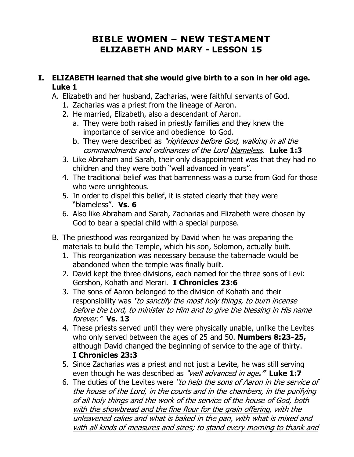# **BIBLE WOMEN – NEW TESTAMENT ELIZABETH AND MARY - LESSON 15**

## **I. ELIZABETH learned that she would give birth to a son in her old age. Luke 1**

- A. Elizabeth and her husband, Zacharias, were faithful servants of God.
	- 1. Zacharias was a priest from the lineage of Aaron.
	- 2. He married, Elizabeth, also a descendant of Aaron.
		- a. They were both raised in priestly families and they knew the importance of service and obedience to God.
		- b. They were described as "righteous before God, walking in all the commandments and ordinances of the Lord blameless. **Luke 1:3**
	- 3. Like Abraham and Sarah, their only disappointment was that they had no children and they were both "well advanced in years".
	- 4. The traditional belief was that barrenness was a curse from God for those who were unrighteous.
	- 5. In order to dispel this belief, it is stated clearly that they were "blameless". **Vs. 6**
	- 6. Also like Abraham and Sarah, Zacharias and Elizabeth were chosen by God to bear a special child with a special purpose.
- B. The priesthood was reorganized by David when he was preparing the materials to build the Temple, which his son, Solomon, actually built.
	- 1. This reorganization was necessary because the tabernacle would be abandoned when the temple was finally built.
	- 2. David kept the three divisions, each named for the three sons of Levi: Gershon, Kohath and Merari. **I Chronicles 23:6**
	- 3. The sons of Aaron belonged to the division of Kohath and their responsibility was "to sanctify the most holy things, to burn incense before the Lord, to minister to Him and to give the blessing in His name forever." **Vs. 13**
	- 4. These priests served until they were physically unable, unlike the Levites who only served between the ages of 25 and 50. **Numbers 8:23-25,**  although David changed the beginning of service to the age of thirty. **I Chronicles 23:3**
	- 5. Since Zacharias was a priest and not just a Levite, he was still serving even though he was described as "well advanced in age**." Luke 1:7**
	- 6. The duties of the Levites were "to help the sons of Aaron in the service of the house of the Lord, in the courts and in the chambers, in the purifying of all holy things and the work of the service of the house of God, both with the showbread and the fine flour for the grain offering, with the unleavened cakes and what is baked in the pan, with what is mixed and with all kinds of measures and sizes; to stand every morning to thank and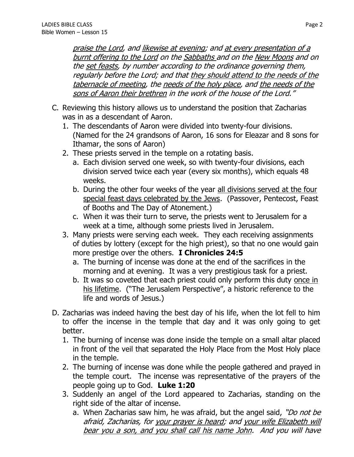praise the Lord, and likewise at evening; and at every presentation of a burnt offering to the Lord on the Sabbaths and on the New Moons and on the set feasts, by number according to the ordinance governing them, regularly before the Lord; and that they should attend to the needs of the tabernacle of meeting, the needs of the holy place, and the needs of the sons of Aaron their brethren in the work of the house of the Lord."

- C. Reviewing this history allows us to understand the position that Zacharias was in as a descendant of Aaron.
	- 1. The descendants of Aaron were divided into twenty-four divisions. (Named for the 24 grandsons of Aaron, 16 sons for Eleazar and 8 sons for Ithamar, the sons of Aaron)
	- 2. These priests served in the temple on a rotating basis.
		- a. Each division served one week, so with twenty-four divisions, each division served twice each year (every six months), which equals 48 weeks.
		- b. During the other four weeks of the year all divisions served at the four special feast days celebrated by the Jews. (Passover, Pentecost, Feast of Booths and The Day of Atonement.)
		- c. When it was their turn to serve, the priests went to Jerusalem for a week at a time, although some priests lived in Jerusalem.
	- 3. Many priests were serving each week. They each receiving assignments of duties by lottery (except for the high priest), so that no one would gain more prestige over the others. **I Chronicles 24:5**
		- a. The burning of incense was done at the end of the sacrifices in the morning and at evening. It was a very prestigious task for a priest.
		- b. It was so coveted that each priest could only perform this duty once in his lifetime. ("The Jerusalem Perspective", a historic reference to the life and words of Jesus.)
- D. Zacharias was indeed having the best day of his life, when the lot fell to him to offer the incense in the temple that day and it was only going to get better.
	- 1. The burning of incense was done inside the temple on a small altar placed in front of the veil that separated the Holy Place from the Most Holy place in the temple.
	- 2. The burning of incense was done while the people gathered and prayed in the temple court. The incense was representative of the prayers of the people going up to God. **Luke 1:20**
	- 3. Suddenly an angel of the Lord appeared to Zacharias, standing on the right side of the altar of incense.
		- a. When Zacharias saw him, he was afraid, but the angel said, "Do not be afraid, Zacharias, for your prayer is heard; and your wife Elizabeth will bear you a son, and you shall call his name John. And you will have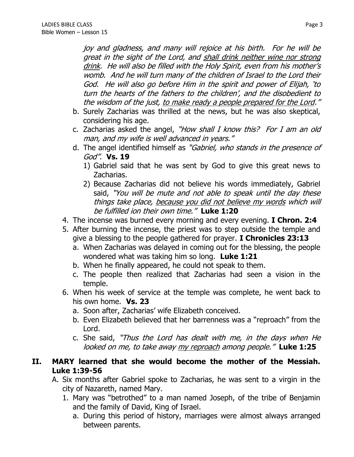joy and gladness, and many will rejoice at his birth. For he will be great in the sight of the Lord, and shall drink neither wine nor strong drink. He will also be filled with the Holy Spirit, even from his mother's womb. And he will turn many of the children of Israel to the Lord their God. He will also go before Him in the spirit and power of Elijah, 'to turn the hearts of the fathers to the children', and the disobedient to the wisdom of the just, to make ready a people prepared for the Lord."

- b. Surely Zacharias was thrilled at the news, but he was also skeptical, considering his age.
- c. Zacharias asked the angel, "How shall I know this? For I am an old man, and my wife is well advanced in years."
- d. The angel identified himself as "Gabriel, who stands in the presence of God". **Vs. 19**
	- 1) Gabriel said that he was sent by God to give this great news to Zacharias.
	- 2) Because Zacharias did not believe his words immediately, Gabriel said, "You will be mute and not able to speak until the day these things take place, because you did not believe my words which will be fulfilled ion their own time." **Luke 1:20**
- 4. The incense was burned every morning and every evening. **I Chron. 2:4**
- 5. After burning the incense, the priest was to step outside the temple and give a blessing to the people gathered for prayer. **I Chronicles 23:13**
	- a. When Zacharias was delayed in coming out for the blessing, the people wondered what was taking him so long. **Luke 1:21**
	- b. When he finally appeared, he could not speak to them.
	- c. The people then realized that Zacharias had seen a vision in the temple.
- 6. When his week of service at the temple was complete, he went back to his own home. **Vs. 23**
	- a. Soon after, Zacharias' wife Elizabeth conceived.
	- b. Even Elizabeth believed that her barrenness was a "reproach" from the Lord.
	- c. She said, "Thus the Lord has dealt with me, in the days when He looked on me, to take away my reproach among people." **Luke 1:25**
- **II. MARY learned that she would become the mother of the Messiah. Luke 1:39-56**
	- A. Six months after Gabriel spoke to Zacharias, he was sent to a virgin in the city of Nazareth, named Mary.
		- 1. Mary was "betrothed" to a man named Joseph, of the tribe of Benjamin and the family of David, King of Israel.
			- a. During this period of history, marriages were almost always arranged between parents.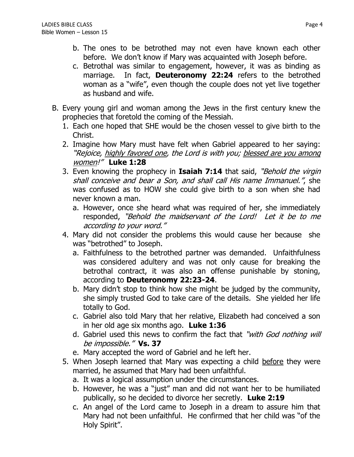- b. The ones to be betrothed may not even have known each other before. We don't know if Mary was acquainted with Joseph before.
- c. Betrothal was similar to engagement, however, it was as binding as marriage. In fact, **Deuteronomy 22:24** refers to the betrothed woman as a "wife", even though the couple does not yet live together as husband and wife.
- B. Every young girl and woman among the Jews in the first century knew the prophecies that foretold the coming of the Messiah.
	- 1. Each one hoped that SHE would be the chosen vessel to give birth to the Christ.
	- 2. Imagine how Mary must have felt when Gabriel appeared to her saying: "Rejoice, highly favored one, the Lord is with you; blessed are you among women!" **Luke 1:28**
	- 3. Even knowing the prophecy in **Isaiah 7:14** that said, "Behold the virgin shall conceive and bear a Son, and shall call His name Immanuel.", she was confused as to HOW she could give birth to a son when she had never known a man.
		- a. However, once she heard what was required of her, she immediately responded, "Behold the maidservant of the Lord! Let it be to me according to your word."
	- 4. Mary did not consider the problems this would cause her because she was "betrothed" to Joseph.
		- a. Faithfulness to the betrothed partner was demanded. Unfaithfulness was considered adultery and was not only cause for breaking the betrothal contract, it was also an offense punishable by stoning, according to **Deuteronomy 22:23-24**.
		- b. Mary didn't stop to think how she might be judged by the community, she simply trusted God to take care of the details. She yielded her life totally to God.
		- c. Gabriel also told Mary that her relative, Elizabeth had conceived a son in her old age six months ago. **Luke 1:36**
		- d. Gabriel used this news to confirm the fact that "with God nothing will be impossible." **Vs. 37**
		- e. Mary accepted the word of Gabriel and he left her.
	- 5. When Joseph learned that Mary was expecting a child before they were married, he assumed that Mary had been unfaithful.
		- a. It was a logical assumption under the circumstances.
		- b. However, he was a "just" man and did not want her to be humiliated publically, so he decided to divorce her secretly. **Luke 2:19**
		- c. An angel of the Lord came to Joseph in a dream to assure him that Mary had not been unfaithful. He confirmed that her child was "of the Holy Spirit".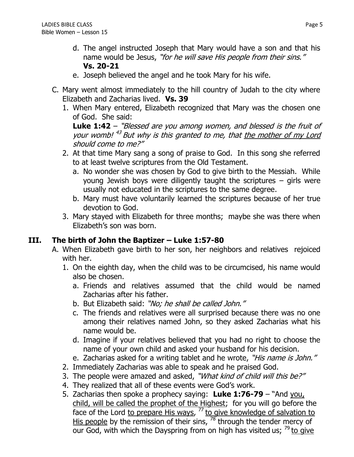- d. The angel instructed Joseph that Mary would have a son and that his name would be Jesus, "for he will save His people from their sins." **Vs. 20-21**
- e. Joseph believed the angel and he took Mary for his wife.
- C. Mary went almost immediately to the hill country of Judah to the city where Elizabeth and Zacharias lived. **Vs. 39**
	- 1. When Mary entered, Elizabeth recognized that Mary was the chosen one of God. She said:

**Luke 1:42** – "Blessed are you among women, and blessed is the fruit of your womb!<sup>43</sup> But why is this granted to me, that the mother of my Lord should come to me?"

- 2. At that time Mary sang a song of praise to God. In this song she referred to at least twelve scriptures from the Old Testament.
	- a. No wonder she was chosen by God to give birth to the Messiah. While young Jewish boys were diligently taught the scriptures – girls were usually not educated in the scriptures to the same degree.
	- b. Mary must have voluntarily learned the scriptures because of her true devotion to God.
- 3. Mary stayed with Elizabeth for three months; maybe she was there when Elizabeth's son was born.

# **III. The birth of John the Baptizer – Luke 1:57-80**

- A. When Elizabeth gave birth to her son, her neighbors and relatives rejoiced with her.
	- 1. On the eighth day, when the child was to be circumcised, his name would also be chosen.
		- a. Friends and relatives assumed that the child would be named Zacharias after his father.
		- b. But Elizabeth said: "No; he shall be called John."
		- c. The friends and relatives were all surprised because there was no one among their relatives named John, so they asked Zacharias what his name would be.
		- d. Imagine if your relatives believed that you had no right to choose the name of your own child and asked your husband for his decision.
		- e. Zacharias asked for a writing tablet and he wrote, "His name is John."
	- 2. Immediately Zacharias was able to speak and he praised God.
	- 3. The people were amazed and asked, "What kind of child will this be?"
	- 4. They realized that all of these events were God's work.
	- 5. Zacharias then spoke a prophecy saying: **Luke 1:76-79** "And you, child, will be called the prophet of the Highest; for you will go before the face of the Lord to prepare His ways, <sup>77</sup> to give knowledge of salvation to His people by the remission of their sins, <sup>78</sup> through the tender mercy of our God, with which the Dayspring from on high has visited us;  $^{79}$  to give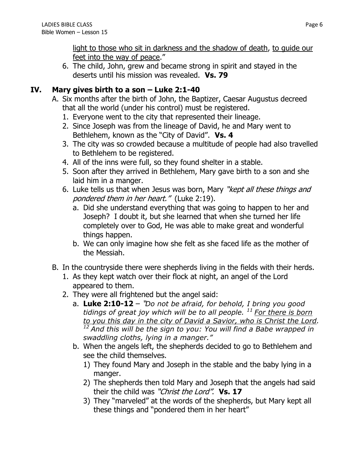light to those who sit in darkness and the shadow of death, to guide our feet into the way of peace."

6. The child, John, grew and became strong in spirit and stayed in the deserts until his mission was revealed. **Vs. 79**

## **IV. Mary gives birth to a son – Luke 2:1-40**

- A. Six months after the birth of John, the Baptizer, Caesar Augustus decreed that all the world (under his control) must be registered.
	- 1. Everyone went to the city that represented their lineage.
	- 2. Since Joseph was from the lineage of David, he and Mary went to Bethlehem, known as the "City of David". **Vs. 4**
	- 3. The city was so crowded because a multitude of people had also travelled to Bethlehem to be registered.
	- 4. All of the inns were full, so they found shelter in a stable.
	- 5. Soon after they arrived in Bethlehem, Mary gave birth to a son and she laid him in a manger.
	- 6. Luke tells us that when Jesus was born, Mary "kept all these things and pondered them in her heart." (Luke 2:19).
		- a. Did she understand everything that was going to happen to her and Joseph? I doubt it, but she learned that when she turned her life completely over to God, He was able to make great and wonderful things happen.
		- b. We can only imagine how she felt as she faced life as the mother of the Messiah.
- B. In the countryside there were shepherds living in the fields with their herds.
	- 1. As they kept watch over their flock at night, an angel of the Lord appeared to them.
	- 2. They were all frightened but the angel said:
		- a. **Luke 2:10-12** "*Do not be afraid, for behold, I bring you good tidings of great joy which will be to all people. <sup>11</sup> For there is born to you this day in the city of David a Savior, who is Christ the Lord. <sup>12</sup> And this will be the sign to you: You will find a Babe wrapped in swaddling cloths, lying in a manger."*
		- b. When the angels left, the shepherds decided to go to Bethlehem and see the child themselves.
			- 1) They found Mary and Joseph in the stable and the baby lying in a manger.
			- 2) The shepherds then told Mary and Joseph that the angels had said their the child was "Christ the Lord". **Vs. 17**
			- 3) They "marveled" at the words of the shepherds, but Mary kept all these things and "pondered them in her heart"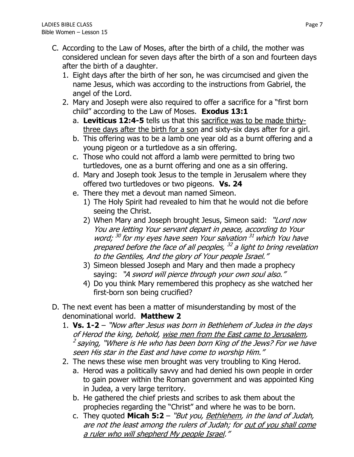- C. According to the Law of Moses, after the birth of a child, the mother was considered unclean for seven days after the birth of a son and fourteen days after the birth of a daughter.
	- 1. Eight days after the birth of her son, he was circumcised and given the name Jesus, which was according to the instructions from Gabriel, the angel of the Lord.
	- 2. Mary and Joseph were also required to offer a sacrifice for a "first born child" according to the Law of Moses. **Exodus 13:1**
		- a. **Leviticus 12:4-5** tells us that this sacrifice was to be made thirtythree days after the birth for a son and sixty-six days after for a girl.
		- b. This offering was to be a lamb one year old as a burnt offering and a young pigeon or a turtledove as a sin offering.
		- c. Those who could not afford a lamb were permitted to bring two turtledoves, one as a burnt offering and one as a sin offering.
		- d. Mary and Joseph took Jesus to the temple in Jerusalem where they offered two turtledoves or two pigeons. **Vs. 24**
		- e. There they met a devout man named Simeon.
			- 1) The Holy Spirit had revealed to him that he would not die before seeing the Christ.
			- 2) When Mary and Joseph brought Jesus, Simeon said: "Lord now You are letting Your servant depart in peace, according to Your word; <sup>30</sup> for my eyes have seen Your salvation <sup>31</sup> which You have prepared before the face of all peoples, <sup>32</sup> a light to bring revelation to the Gentiles, And the glory of Your people Israel."
			- 3) Simeon blessed Joseph and Mary and then made a prophecy saying: "A sword will pierce through your own soul also."
			- 4) Do you think Mary remembered this prophecy as she watched her first-born son being crucified?
- D. The next event has been a matter of misunderstanding by most of the denominational world. **Matthew 2**
	- 1. **Vs. 1-2** "Now after Jesus was born in Bethlehem of Judea in the days of Herod the king, behold, wise men from the East came to Jerusalem,  $^2$  saying, "Where is He who has been born King of the Jews? For we have seen His star in the East and have come to worship Him."
	- 2. The news these wise men brought was very troubling to King Herod.
		- a. Herod was a politically savvy and had denied his own people in order to gain power within the Roman government and was appointed King in Judea, a very large territory.
		- b. He gathered the chief priests and scribes to ask them about the prophecies regarding the "Christ" and where he was to be born.
		- c. They quoted **Micah 5:2** "But you, Bethlehem, in the land of Judah, are not the least among the rulers of Judah; for out of you shall come a ruler who will shepherd My people Israel."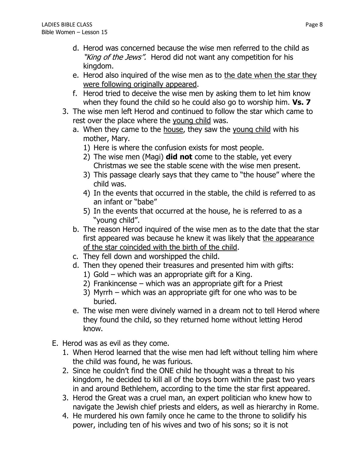- d. Herod was concerned because the wise men referred to the child as "King of the Jews". Herod did not want any competition for his kingdom.
- e. Herod also inquired of the wise men as to the date when the star they were following originally appeared.
- f. Herod tried to deceive the wise men by asking them to let him know when they found the child so he could also go to worship him. **Vs. 7**
- 3. The wise men left Herod and continued to follow the star which came to rest over the place where the young child was.
	- a. When they came to the house, they saw the young child with his mother, Mary.
		- 1) Here is where the confusion exists for most people.
		- 2) The wise men (Magi) **did not** come to the stable, yet every Christmas we see the stable scene with the wise men present.
		- 3) This passage clearly says that they came to "the house" where the child was.
		- 4) In the events that occurred in the stable, the child is referred to as an infant or "babe"
		- 5) In the events that occurred at the house, he is referred to as a "young child".
	- b. The reason Herod inquired of the wise men as to the date that the star first appeared was because he knew it was likely that the appearance of the star coincided with the birth of the child.
	- c. They fell down and worshipped the child.
	- d. Then they opened their treasures and presented him with gifts:
		- 1) Gold which was an appropriate gift for a King.
		- 2) Frankincense which was an appropriate gift for a Priest
		- 3) Myrrh which was an appropriate gift for one who was to be buried.
	- e. The wise men were divinely warned in a dream not to tell Herod where they found the child, so they returned home without letting Herod know.
- E. Herod was as evil as they come.
	- 1. When Herod learned that the wise men had left without telling him where the child was found, he was furious.
	- 2. Since he couldn't find the ONE child he thought was a threat to his kingdom, he decided to kill all of the boys born within the past two years in and around Bethlehem, according to the time the star first appeared.
	- 3. Herod the Great was a cruel man, an expert politician who knew how to navigate the Jewish chief priests and elders, as well as hierarchy in Rome.
	- 4. He murdered his own family once he came to the throne to solidify his power, including ten of his wives and two of his sons; so it is not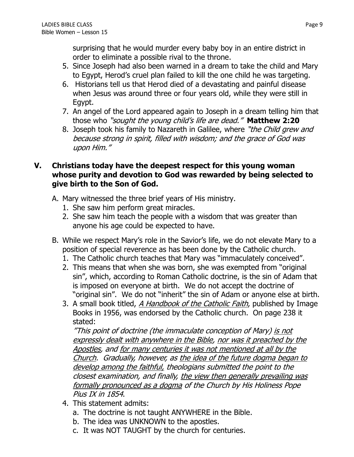surprising that he would murder every baby boy in an entire district in order to eliminate a possible rival to the throne.

- 5. Since Joseph had also been warned in a dream to take the child and Mary to Egypt, Herod's cruel plan failed to kill the one child he was targeting.
- 6. Historians tell us that Herod died of a devastating and painful disease when Jesus was around three or four years old, while they were still in Egypt.
- 7. An angel of the Lord appeared again to Joseph in a dream telling him that those who "sought the young child's life are dead." **Matthew 2:20**
- 8. Joseph took his family to Nazareth in Galilee, where "the Child grew and because strong in spirit, filled with wisdom; and the grace of God was upon Him."

#### **V. Christians today have the deepest respect for this young woman whose purity and devotion to God was rewarded by being selected to give birth to the Son of God.**

- A. Mary witnessed the three brief years of His ministry.
	- 1. She saw him perform great miracles.
	- 2. She saw him teach the people with a wisdom that was greater than anyone his age could be expected to have.
- B. While we respect Mary's role in the Savior's life, we do not elevate Mary to a position of special reverence as has been done by the Catholic church.
	- 1. The Catholic church teaches that Mary was "immaculately conceived".
	- 2. This means that when she was born, she was exempted from "original sin", which, according to Roman Catholic doctrine, is the sin of Adam that is imposed on everyone at birth. We do not accept the doctrine of "original sin". We do not "inherit" the sin of Adam or anyone else at birth.
	- 3. A small book titled, A Handbook of the Catholic Faith, published by Image Books in 1956, was endorsed by the Catholic church. On page 238 it stated:

"This point of doctrine (the immaculate conception of Mary) is not expressly dealt with anywhere in the Bible, nor was it preached by the Apostles, and for many centuries it was not mentioned at all by the Church. Gradually, however, as the idea of the future dogma began to develop among the faithful, theologians submitted the point to the closest examination, and finally, the view then generally prevailing was formally pronounced as a dogma of the Church by His Holiness Pope Pius IX in 1854.

- 4. This statement admits:
	- a. The doctrine is not taught ANYWHERE in the Bible.
	- b. The idea was UNKNOWN to the apostles.
	- c. It was NOT TAUGHT by the church for centuries.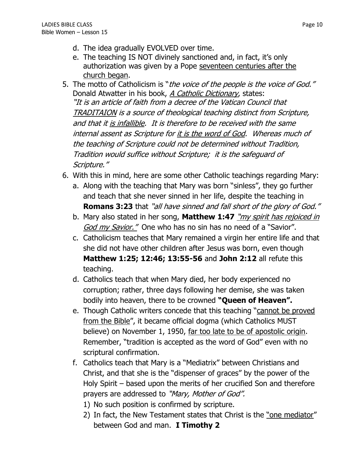- d. The idea gradually EVOLVED over time.
- e. The teaching IS NOT divinely sanctioned and, in fact, it's only authorization was given by a Pope seventeen centuries after the church began.
- 5. The motto of Catholicism is "the voice of the people is the voice of God." Donald Atwatter in his book, *A Catholic Dictionary*, states: "It is an article of faith from a decree of the Vatican Council that TRADITAION is a source of theological teaching distinct from Scripture, and that it is infallible. It is therefore to be received with the same internal assent as Scripture for it is the word of God. Whereas much of the teaching of Scripture could not be determined without Tradition, Tradition would suffice without Scripture; it is the safeguard of Scripture."
- 6. With this in mind, here are some other Catholic teachings regarding Mary:
	- a. Along with the teaching that Mary was born "sinless", they go further and teach that she never sinned in her life, despite the teaching in **Romans 3:23** that "all have sinned and fall short of the glory of God."
	- b. Mary also stated in her song, **Matthew 1:47** "my spirit has rejoiced in God my Savior." One who has no sin has no need of a "Savior".
	- c. Catholicism teaches that Mary remained a virgin her entire life and that she did not have other children after Jesus was born, even though **Matthew 1:25; 12:46; 13:55-56** and **John 2:12** all refute this teaching.
	- d. Catholics teach that when Mary died, her body experienced no corruption; rather, three days following her demise, she was taken bodily into heaven, there to be crowned **"Queen of Heaven".**
	- e. Though Catholic writers concede that this teaching "cannot be proved from the Bible", it became official dogma (which Catholics MUST believe) on November 1, 1950, far too late to be of apostolic origin. Remember, "tradition is accepted as the word of God" even with no scriptural confirmation.
	- f. Catholics teach that Mary is a "Mediatrix" between Christians and Christ, and that she is the "dispenser of graces" by the power of the Holy Spirit – based upon the merits of her crucified Son and therefore prayers are addressed to "Mary, Mother of God".
		- 1) No such position is confirmed by scripture.
		- 2) In fact, the New Testament states that Christ is the <u>"one mediator</u>" between God and man. **I Timothy 2**